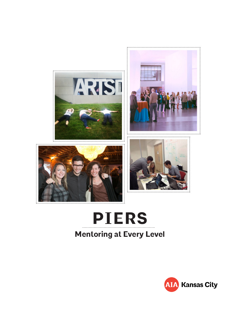







# **PIERS Mentoring at Every Level**

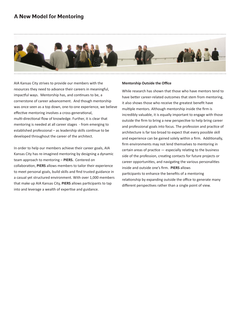## **A New Model for Mentoring**



AIA Kansas City strives to provide our members with the resources they need to advance their careers in meaningful, impactful ways. Mentorship has, and continues to be, a cornerstone of career advancement. And though mentorship was once seen as a top down, one-to-one experience, we believe effective mentoring involves a cross-generational, multi-directional flow of knowledge. Further, it is clear that mentoring is needed at all career stages - from emerging to established professional – as leadership skills continue to be developed throughout the career of the architect.

In order to help our members achieve their career goals, AIA Kansas City has re-imagined mentoring by designing a dynamic team approach to mentoring – **PIERS.** Centered on collaboration, **PIERS** allows members to tailor their experience to meet personal goals, build skills and find trusted guidance in a casual yet structured environment. With over 1,000 members that make up AIA Kansas City, **PIERS** allows participants to tap into and leverage a wealth of expertise and guidance.

#### **Mentorship Outside the Office**

While research has shown that those who have mentors tend to have better career-related outcomes that stem from mentoring, it also shows those who receive the greatest benefit have multiple mentors. Although mentorship inside the firm is incredibly valuable, it is equally important to engage with those outside the firm to bring a new perspective to help bring career and professional goals into focus. The profession and practice of architecture is far too broad to expect that every possible skill and experience can be gained solely within a firm. Additionally, firm environments may not lend themselves to mentoring in certain areas of practice — especially relating to the business side of the profession, creating contacts for future projects or career opportunities, and navigating the various personalities inside and outside one's firm. **PIERS** allows participants to enhance the benefits of a mentoring relationship by expanding outside the office to generate many different perspectives rather than a single point of view.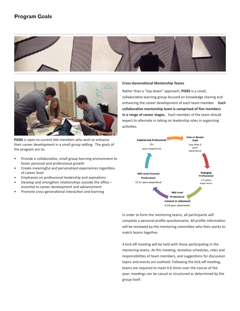## **Program Goals**





**PIERS** is open to current AIA members who wish to enhance their career development in a small group setting. The goals of the program are to:

- Provide a collaborative, small group learning environment to foster personal and professional growth
- Create meaningful and personalized experiences regardless of career level
- Emphasize on professional leadership and aspirations
- Develop and strengthen relationships outside the office essential to career development and advancement
- Promote cross-generational interaction and learning

#### **Cross-Generational Mentorship Teams**

Rather than a "top-down" approach, **PIERS** is a small, collaborative learning group focused on knowledge sharing and enhancing the career development of each team member. **Each collaborative mentorship team is comprised of five members in a range of career stages.** Each member of the team should expect to alternate in taking on leadership roles in organizing activities.



In order to form the mentoring teams, all participants will complete a personal profile questionnaire. All profile information will be reviewed by the mentoring committee who then works to match teams together.

A kick-off meeting will be held with those participating in the mentoring teams. At this meeting, tentative schedules, roles and responsibilities of team members, and suggestions for discussion topics and events are outlined. Following the kick-off meeting, teams are required to meet 4-6 times over the course of the year; meetings can be casual or structured as determined by the group itself.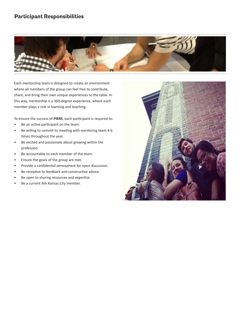## **Participant Responsibilities**



Each mentorship team is designed to create an environment where all members of the group can feel free to contribute, share, and bring their own unique experiences to the table. In this way, mentorship is a 360-degree experience, where each member plays a role in learning and teaching.

To ensure the success of **PIERS**, each participant is required to:

- Be an active participant on the team.
- Be willing to commit to meeting with mentoring team 4-6 times throughout the year.
- Be excited and passionate about growing within the profession.
- Be accountable to each member of the team.
- Ensure the goals of the group are met.
- Provide a confidential atmosphere for open discussion.
- Be receptive to feedback and constructive advice.
- Be open to sharing resources and expertise.
- Be a current AIA Kansas City member.

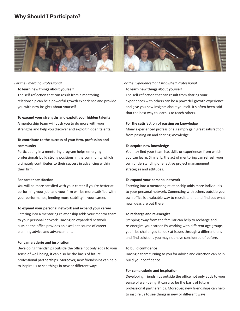## **Why Should I Participate?**



#### *For the Emerging Professional*

#### **To learn new things about yourself**

The self-reflection that can result from a mentoring relationship can be a powerful growth experience and provide you with new insights about yourself.

#### **To expand your strengths and exploit your hidden talents**

A mentorship team will push you to do more with your strengths and help you discover and exploit hidden talents.

#### **To contribute to the success of your firm, profession and community**

Participating in a mentoring program helps emerging professionals build strong positions in the community which ultimately contributes to their success in advancing within their firm.

#### **For career satisfaction**

You will be more satisfied with your career if you're better at performing your job; and your firm will be more satisfied with your performance, lending more stability in your career.

#### **To expand your personal network and expand your career**

Entering into a mentoring relationship adds your mentor team to your personal network. Having an expanded network outside the office provides an excellent source of career planning advice and advancement.

#### **For camaraderie and inspiration**

Developing friendships outside the office not only adds to your sense of well-being, it can also be the basis of future professional partnerships. Moreover, new friendships can help to inspire us to see things in new or different ways.

### *For the Experienced or Established Professional* **To learn new things about yourself**

The self-reflection that can result from sharing your experiences with others can be a powerful growth experience and give you new insights about yourself. It's often been said that the best way to learn is to teach others.

#### **For the satisfaction of passing on knowledge**

Many experienced professionals simply gain great satisfaction from passing on and sharing knowledge.

#### **To acquire new knowledge**

You may find your team has skills or experiences from which you can learn. Similarly, the act of mentoring can refresh your own understanding of effective project management strategies and attitudes.

#### **To expand your personal network**

Entering into a mentoring relationship adds more individuals to your personal network. Connecting with others outside your own office is a valuable way to recruit talent and find out what new ideas are out there.

#### **To recharge and re-energize**

Stepping away from the familiar can help to recharge and re-energize your career. By working with different age groups, you'll be challenged to look at issues through a different lens and find solutions you may not have considered of before.

#### **To build confidence**

Having a team turning to you for advice and direction can help build your confidence.

#### **For camaraderie and inspiration**

Developing friendships outside the office not only adds to your sense of well-being, it can also be the basis of future professional partnerships. Moreover, new friendships can help to inspire us to see things in new or different ways.